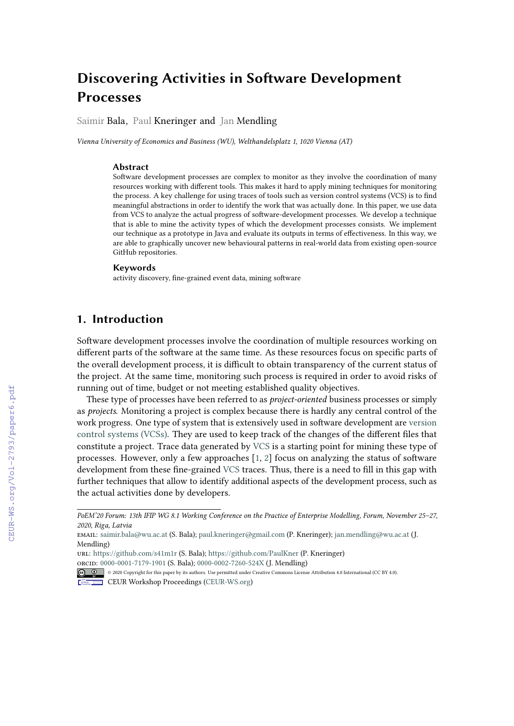# **Discovering Activities in Software Development Processes**

Saimir Bala, Paul Kneringer and Jan Mendling

*Vienna University of Economics and Business (WU), Welthandelsplatz 1, 1020 Vienna (AT)*

#### **Abstract**

Software development processes are complex to monitor as they involve the coordination of many resources working with different tools. This makes it hard to apply mining techniques for monitoring the process. A key challenge for using traces of tools such as version control systems (VCS) is to find meaningful abstractions in order to identify the work that was actually done. In this paper, we use data from VCS to analyze the actual progress of software-development processes. We develop a technique that is able to mine the activity types of which the development processes consists. We implement our technique as a prototype in Java and evaluate its outputs in terms of effectiveness. In this way, we are able to graphically uncover new behavioural patterns in real-world data from existing open-source GitHub repositories.

#### **Keywords**

activity discovery, fine-grained event data, mining software

## **1. Introduction**

Software development processes involve the coordination of multiple resources working on different parts of the software at the same time. As these resources focus on specific parts of the overall development process, it is difficult to obtain transparency of the current status of the project. At the same time, monitoring such process is required in order to avoid risks of running out of time, budget or not meeting established quality objectives.

These type of processes have been referred to as *project-oriented* business processes or simply as *projects*. Monitoring a project is complex because there is hardly any central control of the work progress. One type of system that is extensively used in software development are [version](#page--1-0) [control systems \(VCSs\).](#page--1-0) They are used to keep track of the changes of the different files that constitute a project. Trace data generated by [VCS](#page--1-0) is a starting point for mining these type of processes. However, only a few approaches [\[1,](#page--1-1) [2\]](#page--1-2) focus on analyzing the status of software development from these fine-grained [VCS](#page--1-0) traces. Thus, there is a need to fill in this gap with further techniques that allow to identify additional aspects of the development process, such as the actual activities done by developers.

CEUR Workshop [Proceedings](http://ceur-ws.org) [\(CEUR-WS.org\)](http://ceur-ws.org)

*PoEM'20 Forum: 13th IFIP WG 8.1 Working Conference on the Practice of Enterprise Modelling, Forum, November 25–27, 2020, Riga, Latvia*

email: [saimir.bala@wu.ac.at](mailto:saimir.bala@wu.ac.at) (S. Bala); [paul.kneringer@gmail.com](mailto:paul.kneringer@gmail.com) (P. Kneringer); [jan.mendling@wu.ac.at](mailto:jan.mendling@wu.ac.at) (J. Mendling)

url: <https://github.com/s41m1r> (S. Bala); <https://github.com/PaulKner> (P. Kneringer) orcid: [0000-0001-7179-1901](https://orcid.org/0000-0001-7179-1901) (S. Bala); [0000-0002-7260-524X](https://orcid.org/0000-0002-7260-524X) (J. Mendling)

<sup>© 2020</sup> Copyright for this paper by its authors. Use permitted under Creative Commons License Attribution 4.0 International (CC BY 4.0).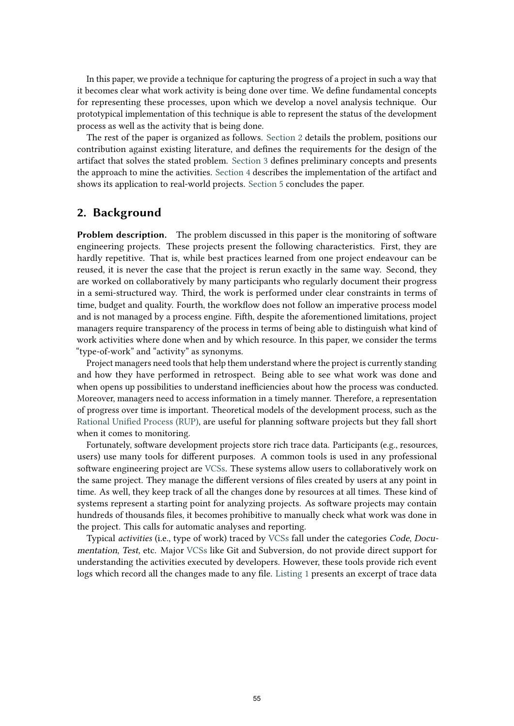In this paper, we provide a technique for capturing the progress of a project in such a way that it becomes clear what work activity is being done over time. We define fundamental concepts for representing these processes, upon which we develop a novel analysis technique. Our prototypical implementation of this technique is able to represent the status of the development process as well as the activity that is being done.

The rest of the paper is organized as follows. [Section 2](#page-1-0) details the problem, positions our contribution against existing literature, and defines the requirements for the design of the artifact that solves the stated problem. [Section 3](#page-3-0) defines preliminary concepts and presents the approach to mine the activities. [Section 4](#page-6-0) describes the implementation of the artifact and shows its application to real-world projects. [Section 5](#page-8-0) concludes the paper.

### <span id="page-1-0"></span>**2. Background**

**Problem description.** The problem discussed in this paper is the monitoring of software engineering projects. These projects present the following characteristics. First, they are hardly repetitive. That is, while best practices learned from one project endeavour can be reused, it is never the case that the project is rerun exactly in the same way. Second, they are worked on collaboratively by many participants who regularly document their progress in a semi-structured way. Third, the work is performed under clear constraints in terms of time, budget and quality. Fourth, the workflow does not follow an imperative process model and is not managed by a process engine. Fifth, despite the aforementioned limitations, project managers require transparency of the process in terms of being able to distinguish what kind of work activities where done when and by which resource. In this paper, we consider the terms "type-of-work" and "activity" as synonyms.

Project managers need tools that help them understand where the project is currently standing and how they have performed in retrospect. Being able to see what work was done and when opens up possibilities to understand inefficiencies about how the process was conducted. Moreover, managers need to access information in a timely manner. Therefore, a representation of progress over time is important. Theoretical models of the development process, such as the [Rational Unified Process \(RUP\),](#page-9-0) are useful for planning software projects but they fall short when it comes to monitoring.

Fortunately, software development projects store rich trace data. Participants (e.g., resources, users) use many tools for different purposes. A common tools is used in any professional software engineering project are [VCSs.](#page-9-0) These systems allow users to collaboratively work on the same project. They manage the different versions of files created by users at any point in time. As well, they keep track of all the changes done by resources at all times. These kind of systems represent a starting point for analyzing projects. As software projects may contain hundreds of thousands files, it becomes prohibitive to manually check what work was done in the project. This calls for automatic analyses and reporting.

Typical *activities* (i.e., type of work) traced by [VCSs](#page-9-0) fall under the categories Code, Documentation, Test, etc. Major [VCSs](#page-9-0) like Git and Subversion, do not provide direct support for understanding the activities executed by developers. However, these tools provide rich event logs which record all the changes made to any file. [Listing 1](#page-2-0) presents an excerpt of trace data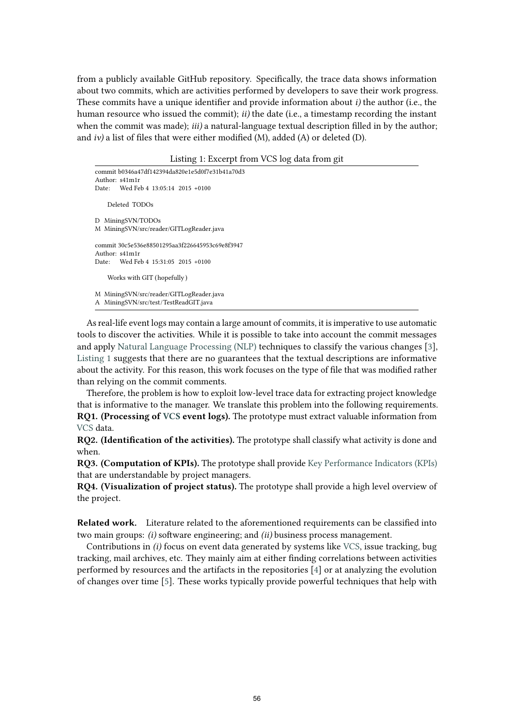from a publicly available GitHub repository. Specifically, the trace data shows information about two commits, which are activities performed by developers to save their work progress. These commits have a unique identifier and provide information about *i)* the author (i.e., the human resource who issued the commit); *ii)* the date (i.e., a timestamp recording the instant when the commit was made); *iii*) a natural-language textual description filled in by the author; and *iv)* a list of files that were either modified (M), added (A) or deleted (D).

Listing 1: Excerpt from VCS log data from git

```
commit b0346a47df142394da820e1e5d0f7e31b41a70d3
Author: s41m1r
Date: Wed Feb 4 13:05:14 2015 +0100
   Deleted TODOs
D MiningSVN/TODOs
M MiningSVN/src/reader/GITLogReader.java
commit 30c5e536e88501295aa3f226645953c69e8f3947
Author: s41m1r
Date: Wed Feb 4 15:31:05 2015 +0100
    Works with GIT (hopefully )
M MiningSVN/src/reader/GITLogReader.java
A MiningSVN/src/test/TestReadGIT.java
```
As real-life event logs may contain a large amount of commits, it is imperative to use automatic tools to discover the activities. While it is possible to take into account the commit messages and apply [Natural Language Processing \(NLP\)](#page-9-0) techniques to classify the various changes [\[3\]](#page-9-1), [Listing 1](#page-2-0) suggests that there are no guarantees that the textual descriptions are informative about the activity. For this reason, this work focuses on the type of file that was modified rather than relying on the commit comments.

Therefore, the problem is how to exploit low-level trace data for extracting project knowledge that is informative to the manager. We translate this problem into the following requirements. **RQ1. (Processing of [VCS](#page-9-0) event logs).** The prototype must extract valuable information from [VCS](#page-9-0) data.

**RQ2. (Identification of the activities).** The prototype shall classify what activity is done and when.

**RQ3. (Computation of KPIs).** The prototype shall provide [Key Performance Indicators \(KPIs\)](#page-9-0) that are understandable by project managers.

**RQ4. (Visualization of project status).** The prototype shall provide a high level overview of the project.

**Related work.** Literature related to the aforementioned requirements can be classified into two main groups: *(i)* software engineering; and *(ii)* business process management.

Contributions in *(i)* focus on event data generated by systems like [VCS,](#page-9-0) issue tracking, bug tracking, mail archives, etc. They mainly aim at either finding correlations between activities performed by resources and the artifacts in the repositories [\[4\]](#page-9-2) or at analyzing the evolution of changes over time [\[5\]](#page-9-3). These works typically provide powerful techniques that help with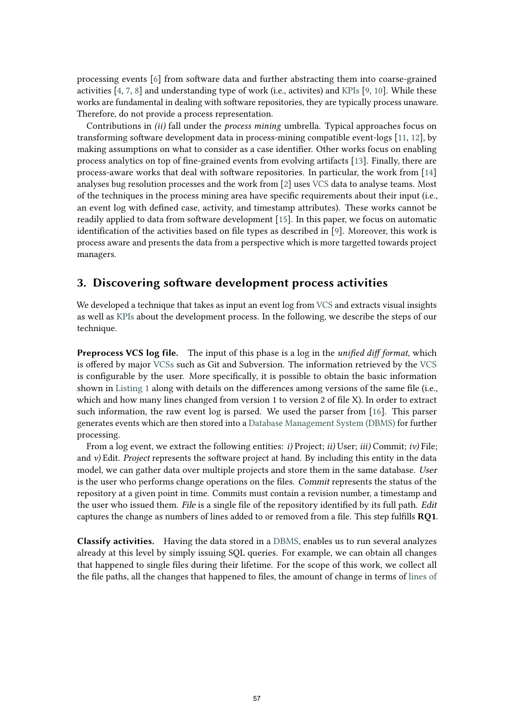processing events [\[6\]](#page-9-4) from software data and further abstracting them into coarse-grained activities [\[4,](#page-9-2) [7,](#page-9-5) [8\]](#page-9-6) and understanding type of work (i.e., activites) and [KPIs](#page-9-0) [\[9,](#page-9-7) [10\]](#page-9-8). While these works are fundamental in dealing with software repositories, they are typically process unaware. Therefore, do not provide a process representation.

Contributions in *(ii)* fall under the *process mining* umbrella. Typical approaches focus on transforming software development data in process-mining compatible event-logs [\[11,](#page-9-9) [12\]](#page-9-10), by making assumptions on what to consider as a case identifier. Other works focus on enabling process analytics on top of fine-grained events from evolving artifacts [\[13\]](#page-9-11). Finally, there are process-aware works that deal with software repositories. In particular, the work from [\[14\]](#page-9-12) analyses bug resolution processes and the work from [\[2\]](#page-9-13) uses [VCS](#page-9-0) data to analyse teams. Most of the techniques in the process mining area have specific requirements about their input (i.e., an event log with defined case, activity, and timestamp attributes). These works cannot be readily applied to data from software development [\[15\]](#page-9-14). In this paper, we focus on automatic identification of the activities based on file types as described in [\[9\]](#page-9-7). Moreover, this work is process aware and presents the data from a perspective which is more targetted towards project managers.

## <span id="page-3-0"></span>**3. Discovering software development process activities**

We developed a technique that takes as input an event log from [VCS](#page-9-0) and extracts visual insights as well as [KPIs](#page-9-0) about the development process. In the following, we describe the steps of our technique.

**Preprocess VCS log file.** The input of this phase is a log in the *unified diff format*, which is offered by major [VCSs](#page-9-0) such as Git and Subversion. The information retrieved by the [VCS](#page-9-0) is configurable by the user. More specifically, it is possible to obtain the basic information shown in [Listing 1](#page-2-0) along with details on the differences among versions of the same file (i.e., which and how many lines changed from version 1 to version 2 of file X). In order to extract such information, the raw event log is parsed. We used the parser from [\[16\]](#page-9-15). This parser generates events which are then stored into a [Database Management System \(DBMS\)](#page-9-0) for further processing.

From a log event, we extract the following entities: *i)* Project; *ii)* User; *iii)* Commit; *iv)* File; and *v*) Edit. *Project* represents the software project at hand. By including this entity in the data model, we can gather data over multiple projects and store them in the same database. User is the user who performs change operations on the files. Commit represents the status of the repository at a given point in time. Commits must contain a revision number, a timestamp and the user who issued them. File is a single file of the repository identified by its full path. Edit captures the change as numbers of lines added to or removed from a file. This step fulfills **RQ1**.

**Classify activities.** Having the data stored in a [DBMS,](#page-9-0) enables us to run several analyzes already at this level by simply issuing SQL queries. For example, we can obtain all changes that happened to single files during their lifetime. For the scope of this work, we collect all the file paths, all the changes that happened to files, the amount of change in terms of [lines of](#page-9-0)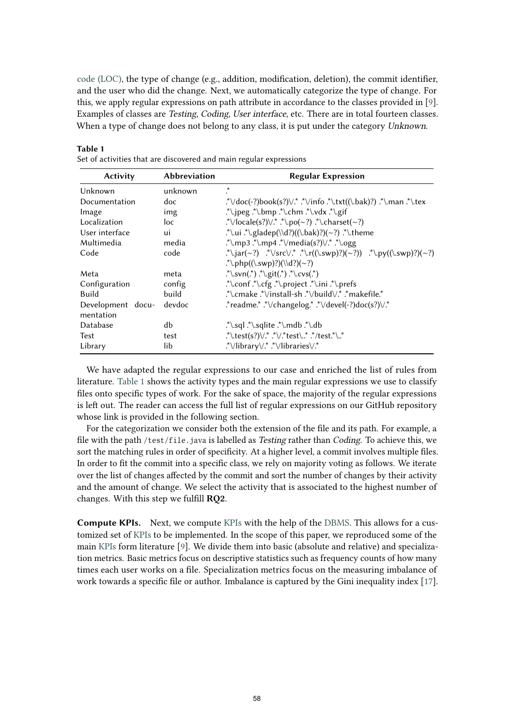[code \(LOC\),](#page-9-0) the type of change (e.g., addition, modification, deletion), the commit identifier, and the user who did the change. Next, we automatically categorize the type of change. For this, we apply regular expressions on path attribute in accordance to the classes provided in [\[9\]](#page-9-7). Examples of classes are Testing, Coding, User interface, etc. There are in total fourteen classes. When a type of change does not belong to any class, it is put under the category Unknown.

| <b>Abbreviation</b><br><b>Activity</b> |         | <b>Regular Expression</b>                                                        |  |  |  |  |
|----------------------------------------|---------|----------------------------------------------------------------------------------|--|--|--|--|
| Unknown                                | unknown | $\ast$                                                                           |  |  |  |  |
| Documentation                          | doc     | *\/doc(-?)book(s?)\/* *\/info *\.txt((\.bak)?) *\.man *\.tex                     |  |  |  |  |
| Image                                  | img     | .*\.jpeg .*\.bmp .*\.chm .*\.vdx .*\.gif                                         |  |  |  |  |
| Localization                           | loc     | $\sqrt{\text{locale}(s?)}\sqrt{\cdot} \cdot \text{loc}(-?)$ $\cdot$ \charset(~?) |  |  |  |  |
| User interface                         | ui      | .*\.ui .*\.gladep(\\d?)((\.bak)?)(~?) .*\.theme                                  |  |  |  |  |
| Multimedia                             | media   | .*\.mp3 .*\.mp4 .*\/media(s?)\/.* .*\.ogg                                        |  |  |  |  |
| Code                                   | code    | .*\.jar(~?) .*\/src\/.* .*\.r((\.swp)?)(~?)) .*\.py((\.swp)?)(~?)                |  |  |  |  |
|                                        |         | .*\.php((\.swp)?)(\\d?)(~?)                                                      |  |  |  |  |
| Meta                                   | meta    | $.*\textsc{xyn}$ , $.*\textsc{yzn}$ , $.*\textsc{yzn}$                           |  |  |  |  |
| Configuration                          | config  | `\.conf .*\.cfg .*\.project .*\.ini .*\.prefs                                    |  |  |  |  |
| Build                                  | build   | *\.cmake *\/install-sh *\/build\/* *makefile.*                                   |  |  |  |  |
| Development docu-<br>mentation         | devdoc  | *readme.* .*\/changelog.* .*\/devel(-?)doc(s?)\/.*                               |  |  |  |  |
| Database                               | db      |                                                                                  |  |  |  |  |
| Test                                   | test    | .*\.test(s?)\/.* .*\/.*test\* .*/test.*\*                                        |  |  |  |  |
| Library                                | lib     | *\/library\/* *\/libraries\/*                                                    |  |  |  |  |

#### Set of activities that are discovered and main regular expressions

<span id="page-4-0"></span>**Table 1**

We have adapted the regular expressions to our case and enriched the list of rules from literature. [Table 1](#page-4-0) shows the activity types and the main regular expressions we use to classify files onto specific types of work. For the sake of space, the majority of the regular expressions is left out. The reader can access the full list of regular expressions on our GitHub repository whose link is provided in the following section.

For the categorization we consider both the extension of the file and its path. For example, a file with the path / $test/file$ , java is labelled as *Testing* rather than *Coding*. To achieve this, we sort the matching rules in order of specificity. At a higher level, a commit involves multiple files. In order to fit the commit into a specific class, we rely on majority voting as follows. We iterate over the list of changes affected by the commit and sort the number of changes by their activity and the amount of change. We select the activity that is associated to the highest number of changes. With this step we fulfill **RQ2**.

**Compute KPIs.** Next, we compute [KPIs](#page-9-0) with the help of the [DBMS.](#page-9-0) This allows for a customized set of [KPIs](#page-9-0) to be implemented. In the scope of this paper, we reproduced some of the main [KPIs](#page-9-0) form literature [\[9\]](#page-9-7). We divide them into basic (absolute and relative) and specialization metrics. Basic metrics focus on descriptive statistics such as frequency counts of how many times each user works on a file. Specialization metrics focus on the measuring imbalance of work towards a specific file or author. Imbalance is captured by the Gini inequality index [\[17\]](#page-9-16).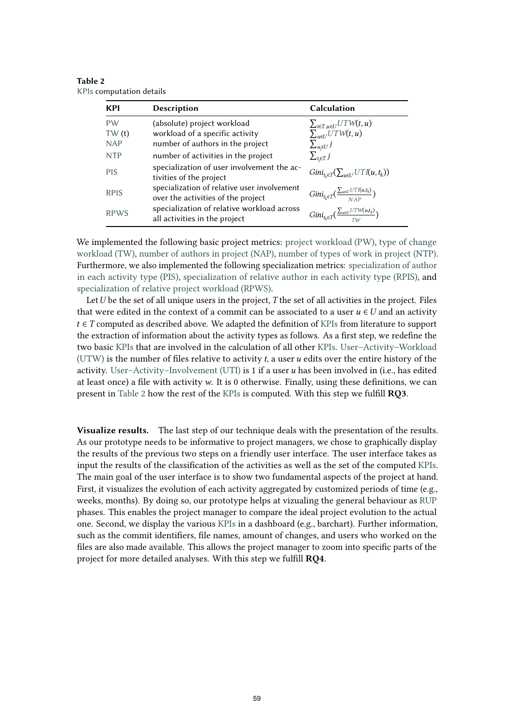**KPI Description Calculation** [PW](#page-9-0) [\(](#page-9-0)absolute) project workload  $\sum_{t \in T, u \in U} UTW(t, u)$ <br>TW (t) workload of a specific activity  $\sum_{u \in U} UTW(t, u)$ [TW](#page-9-0) [\(](#page-9-0)t) workload of a specific activity  $\sum_{u \in U} U$ <br>NAP number of authors in the project  $\sum_{u \in U} U$ [NAP](#page-9-0) number of authors in the project ∑⊆∈№<br>NTP number of activities in the project number of activities in the project  $\sum_{t \in T} j$ [PIS](#page-9-0) specialization of user involvement the ac-<br>tivities of the project spectral zation of user involvement the ac  $Gini_{t_k \in T}(\sum_{u \in U} UTI(u, t_k))$ [RPIS](#page-9-0) specialization of relative user involvement over the activities of the project  $\sum_{u\in U} UTI(u,t_k)$  $\frac{N}{NAP}$ [RPWS](#page-9-0) specialization of relative workload across all activities in the project  $\sum_{u \in U} UTW(u,t_k)$  $\frac{1}{TW}$ <sup>)</sup>

<span id="page-5-0"></span>**Table 2** [KPIs](#page-9-0) computation details

We implemented the following basic project metrics: [project workload \(PW\),](#page-9-0) [type of change](#page-9-0) [workload \(TW\),](#page-9-0) [number of authors in project \(NAP\),](#page-9-0) [number of types of work in project \(NTP\).](#page-9-0) Furthermore, we also implemented the following specialization metrics: [specialization of author](#page-9-0) [in each activity type \(PIS\),](#page-9-0) [specialization of relative author in each activity type \(RPIS\),](#page-9-0) and [specialization of relative project workload \(RPWS\).](#page-9-0)

Let  $U$  be the set of all unique users in the project,  $T$  the set of all activities in the project. Files that were edited in the context of a commit can be associated to a user  $u \in U$  and an activity  $t \in T$  computed as described above. We adapted the definition of [KPIs](#page-9-0) from literature to support the extraction of information about the activity types as follows. As a first step, we redefine the two basic [KPIs](#page-9-0) that are involved in the calculation of all other [KPIs.](#page-9-0) [User–Activity–Workload](#page-9-0) [\(UTW\)](#page-9-0) is the number of files relative to activity  $t$ , a user  $u$  edits over the entire history of the activity. User-Activity-Involvement (UTI) is 1 if a user  $u$  has been involved in (i.e., has edited at least once) a file with activity  $w$ . It is 0 otherwise. Finally, using these definitions, we can present in [Table 2](#page-5-0) how the rest of the [KPIs](#page-9-0) is computed. With this step we fulfill **RQ3**.

**Visualize results.** The last step of our technique deals with the presentation of the results. As our prototype needs to be informative to project managers, we chose to graphically display the results of the previous two steps on a friendly user interface. The user interface takes as input the results of the classification of the activities as well as the set of the computed [KPIs.](#page-9-0) The main goal of the user interface is to show two fundamental aspects of the project at hand. First, it visualizes the evolution of each activity aggregated by customized periods of time (e.g., weeks, months). By doing so, our prototype helps at vizualing the general behaviour as [RUP](#page-9-0) phases. This enables the project manager to compare the ideal project evolution to the actual one. Second, we display the various [KPIs](#page-9-0) in a dashboard (e.g., barchart). Further information, such as the commit identifiers, file names, amount of changes, and users who worked on the files are also made available. This allows the project manager to zoom into specific parts of the project for more detailed analyses. With this step we fulfill **RQ4**.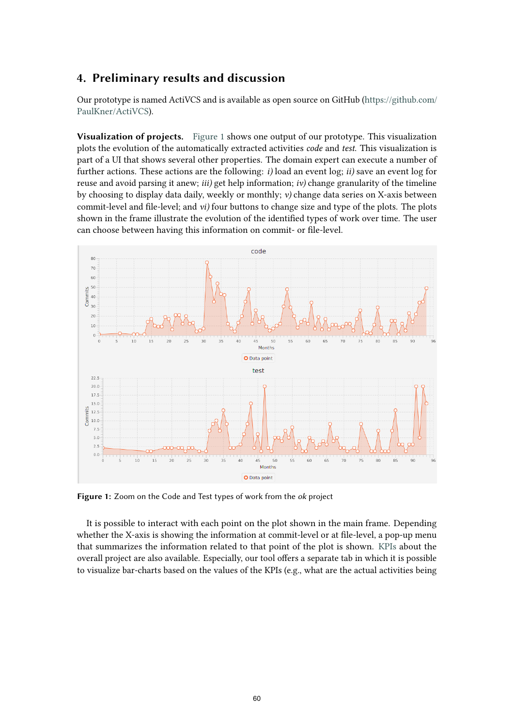# <span id="page-6-0"></span>**4. Preliminary results and discussion**

Our prototype is named ActiVCS and is available as open source on GitHub [\(https://github.com/](https://github.com/PaulKner/ActiVCS) [PaulKner/ActiVCS\)](https://github.com/PaulKner/ActiVCS).

**Visualization of projects.** [Figure 1](#page-6-1) shows one output of our prototype. This visualization plots the evolution of the automatically extracted activities *code* and *test*. This visualization is part of a UI that shows several other properties. The domain expert can execute a number of further actions. These actions are the following: *i)* load an event log; *ii)* save an event log for reuse and avoid parsing it anew; *iii)* get help information; *iv)* change granularity of the timeline by choosing to display data daily, weekly or monthly; *v)* change data series on X-axis between commit-level and file-level; and *vi)* four buttons to change size and type of the plots. The plots shown in the frame illustrate the evolution of the identified types of work over time. The user can choose between having this information on commit- or file-level.

<span id="page-6-1"></span>

**Figure 1:** Zoom on the Code and Test types of work from the ok project

It is possible to interact with each point on the plot shown in the main frame. Depending whether the X-axis is showing the information at commit-level or at file-level, a pop-up menu that summarizes the information related to that point of the plot is shown. [KPIs](#page-9-0) about the overall project are also available. Especially, our tool offers a separate tab in which it is possible to visualize bar-charts based on the values of the KPIs (e.g., what are the actual activities being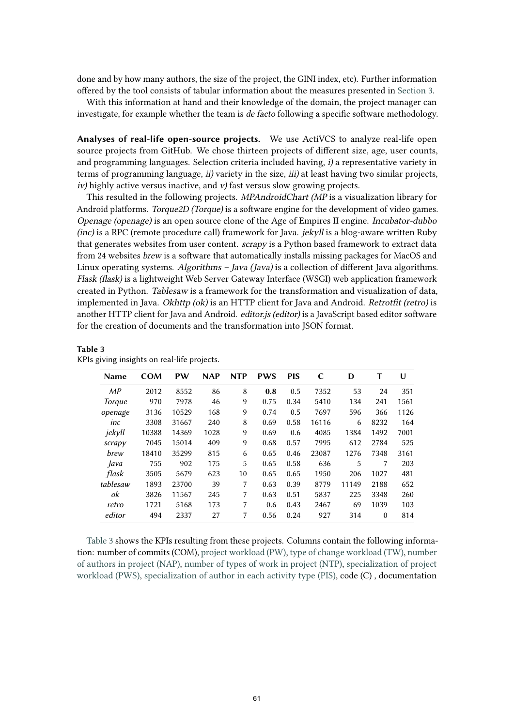done and by how many authors, the size of the project, the GINI index, etc). Further information offered by the tool consists of tabular information about the measures presented in [Section 3.](#page-3-0)

With this information at hand and their knowledge of the domain, the project manager can investigate, for example whether the team is de facto following a specific software methodology.

**Analyses of real-life open-source projects.** We use ActiVCS to analyze real-life open source projects from GitHub. We chose thirteen projects of different size, age, user counts, and programming languages. Selection criteria included having, i) a representative variety in terms of programming language, *ii*) variety in the size, *iii*) at least having two similar projects,  $iv$ ) highly active versus inactive, and v) fast versus slow growing projects.

This resulted in the following projects. MPAndroidChart (MP is a visualization library for Android platforms. Torque2D (Torque) is a software engine for the development of video games. Openage (openage) is an open source clone of the Age of Empires II engine. Incubator-dubbo (inc) is a RPC (remote procedure call) framework for Java. jekyll is a blog-aware written Ruby that generates websites from user content. *scrapy* is a Python based framework to extract data from 24 websites brew is a software that automatically installs missing packages for MacOS and Linux operating systems. Algorithms  $-$  Java (Java) is a collection of different Java algorithms. Flask (flask) is a lightweight Web Server Gateway Interface (WSGI) web application framework created in Python. Tablesaw is a framework for the transformation and visualization of data, implemented in Java. Okhttp (ok) is an HTTP client for Java and Android. Retrotfit (retro) is another HTTP client for Java and Android. *editor.js (editor)* is a JavaScript based editor software for the creation of documents and the transformation into JSON format.

| <b>Name</b> | <b>COM</b> | PW    | <b>NAP</b> | <b>NTP</b> | <b>PWS</b> | <b>PIS</b> | C     | D     | т        | U    |
|-------------|------------|-------|------------|------------|------------|------------|-------|-------|----------|------|
| MP          | 2012       | 8552  | 86         | 8          | 0.8        | 0.5        | 7352  | 53    | 24       | 351  |
| Torque      | 970        | 7978  | 46         | 9          | 0.75       | 0.34       | 5410  | 134   | 241      | 1561 |
| openage     | 3136       | 10529 | 168        | 9          | 0.74       | 0.5        | 7697  | 596   | 366      | 1126 |
| inc         | 3308       | 31667 | 240        | 8          | 0.69       | 0.58       | 16116 | 6     | 8232     | 164  |
| jekyll      | 10388      | 14369 | 1028       | 9          | 0.69       | 0.6        | 4085  | 1384  | 1492     | 7001 |
| scrapy      | 7045       | 15014 | 409        | 9          | 0.68       | 0.57       | 7995  | 612   | 2784     | 525  |
| brew        | 18410      | 35299 | 815        | 6          | 0.65       | 0.46       | 23087 | 1276  | 7348     | 3161 |
| Java        | 755        | 902   | 175        | 5          | 0.65       | 0.58       | 636   | 5     |          | 203  |
| flask       | 3505       | 5679  | 623        | 10         | 0.65       | 0.65       | 1950  | 206   | 1027     | 481  |
| tablesaw    | 1893       | 23700 | 39         | 7          | 0.63       | 0.39       | 8779  | 11149 | 2188     | 652  |
| ok          | 3826       | 11567 | 245        | 7          | 0.63       | 0.51       | 5837  | 225   | 3348     | 260  |
| retro       | 1721       | 5168  | 173        | 7          | 0.6        | 0.43       | 2467  | 69    | 1039     | 103  |
| editor      | 494        | 2337  | 27         | 7          | 0.56       | 0.24       | 927   | 314   | $\theta$ | 814  |

<span id="page-7-0"></span>**Table 3**

| KPIs giving insights on real-life projects. |  |
|---------------------------------------------|--|
|---------------------------------------------|--|

[Table 3](#page-7-0) shows the KPIs resulting from these projects. Columns contain the following information: number of commits (COM), [project workload \(PW\),](#page-9-0) [type of change workload \(TW\),](#page-9-0) [number](#page-9-0) [of authors in project \(NAP\),](#page-9-0) [number of types of work in project \(NTP\),](#page-9-0) [specialization of project](#page-9-0) [workload \(PWS\),](#page-9-0) [specialization of author in each activity type \(PIS\),](#page-9-0) code (C) , documentation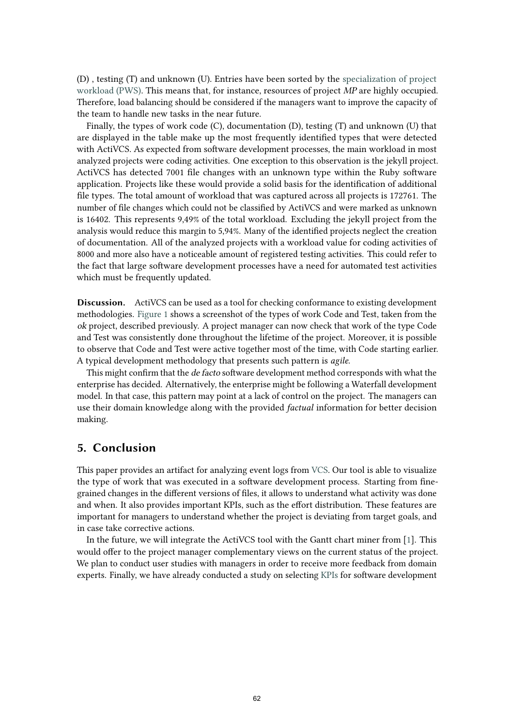(D) , testing (T) and unknown (U). Entries have been sorted by the [specialization of project](#page-9-0) [workload \(PWS\).](#page-9-0) This means that, for instance, resources of project MP are highly occupied. Therefore, load balancing should be considered if the managers want to improve the capacity of the team to handle new tasks in the near future.

Finally, the types of work code (C), documentation (D), testing (T) and unknown (U) that are displayed in the table make up the most frequently identified types that were detected with ActiVCS. As expected from software development processes, the main workload in most analyzed projects were coding activities. One exception to this observation is the jekyll project. ActiVCS has detected 7001 file changes with an unknown type within the Ruby software application. Projects like these would provide a solid basis for the identification of additional file types. The total amount of workload that was captured across all projects is 172761. The number of file changes which could not be classified by ActiVCS and were marked as unknown is 16402. This represents 9,49% of the total workload. Excluding the jekyll project from the analysis would reduce this margin to 5,94%. Many of the identified projects neglect the creation of documentation. All of the analyzed projects with a workload value for coding activities of 8000 and more also have a noticeable amount of registered testing activities. This could refer to the fact that large software development processes have a need for automated test activities which must be frequently updated.

**Discussion.** ActiVCS can be used as a tool for checking conformance to existing development methodologies. [Figure 1](#page-6-1) shows a screenshot of the types of work Code and Test, taken from the ok project, described previously. A project manager can now check that work of the type Code and Test was consistently done throughout the lifetime of the project. Moreover, it is possible to observe that Code and Test were active together most of the time, with Code starting earlier. A typical development methodology that presents such pattern is *agile*.

This might confirm that the de facto software development method corresponds with what the enterprise has decided. Alternatively, the enterprise might be following a Waterfall development model. In that case, this pattern may point at a lack of control on the project. The managers can use their domain knowledge along with the provided *factual* information for better decision making.

### <span id="page-8-0"></span>**5. Conclusion**

This paper provides an artifact for analyzing event logs from [VCS.](#page-9-0) Our tool is able to visualize the type of work that was executed in a software development process. Starting from finegrained changes in the different versions of files, it allows to understand what activity was done and when. It also provides important KPIs, such as the effort distribution. These features are important for managers to understand whether the project is deviating from target goals, and in case take corrective actions.

In the future, we will integrate the ActiVCS tool with the Gantt chart miner from [\[1\]](#page-9-17). This would offer to the project manager complementary views on the current status of the project. We plan to conduct user studies with managers in order to receive more feedback from domain experts. Finally, we have already conducted a study on selecting [KPIs](#page-9-0) for software development